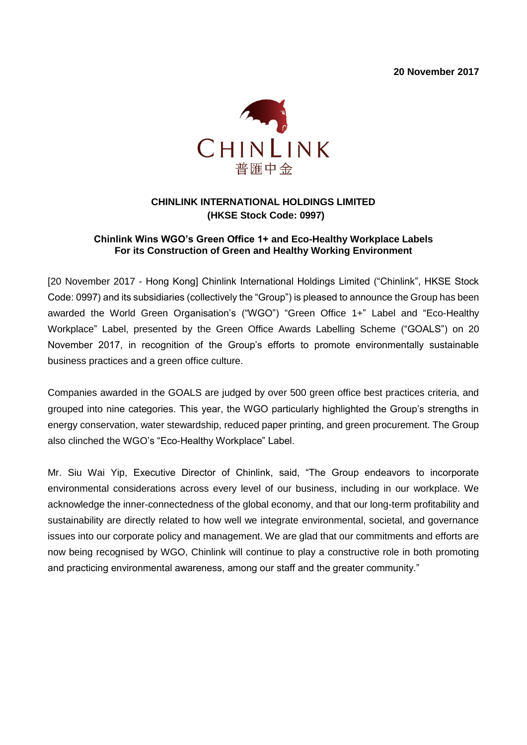**20 November 2017**



## **CHINLINK INTERNATIONAL HOLDINGS LIMITED (HKSE Stock Code: 0997)**

## **Chinlink Wins WGO's Green Office 1+ and Eco-Healthy Workplace Labels For its Construction of Green and Healthy Working Environment**

[20 November 2017 - Hong Kong] Chinlink International Holdings Limited ("Chinlink", HKSE Stock Code: 0997) and its subsidiaries (collectively the "Group") is pleased to announce the Group has been awarded the World Green Organisation's ("WGO") "Green Office 1+" Label and "Eco-Healthy Workplace" Label, presented by the Green Office Awards Labelling Scheme ("GOALS") on 20 November 2017, in recognition of the Group's efforts to promote environmentally sustainable business practices and a green office culture.

Companies awarded in the GOALS are judged by over 500 green office best practices criteria, and grouped into nine categories. This year, the WGO particularly highlighted the Group's strengths in energy conservation, water stewardship, reduced paper printing, and green procurement. The Group also clinched the WGO's "Eco-Healthy Workplace" Label.

Mr. Siu Wai Yip, Executive Director of Chinlink, said, "The Group endeavors to incorporate environmental considerations across every level of our business, including in our workplace. We acknowledge the inner-connectedness of the global economy, and that our long-term profitability and sustainability are directly related to how well we integrate environmental, societal, and governance issues into our corporate policy and management. We are glad that our commitments and efforts are now being recognised by WGO, Chinlink will continue to play a constructive role in both promoting and practicing environmental awareness, among our staff and the greater community."